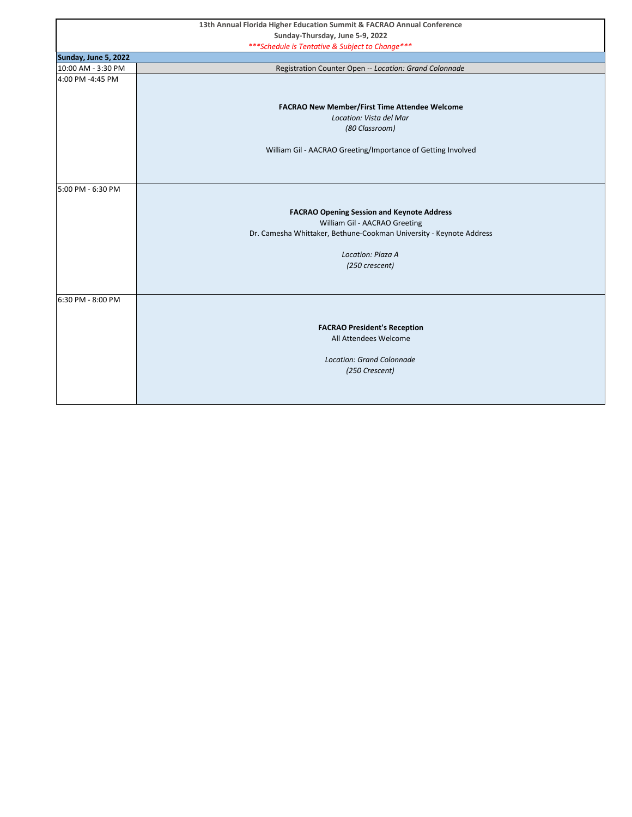|                      | 13th Annual Florida Higher Education Summit & FACRAO Annual Conference          |
|----------------------|---------------------------------------------------------------------------------|
|                      | Sunday-Thursday, June 5-9, 2022                                                 |
|                      | *** Schedule is Tentative & Subject to Change***                                |
| Sunday, June 5, 2022 |                                                                                 |
| 10:00 AM - 3:30 PM   | Registration Counter Open -- Location: Grand Colonnade                          |
| 4:00 PM -4:45 PM     |                                                                                 |
|                      |                                                                                 |
|                      |                                                                                 |
|                      | <b>FACRAO New Member/First Time Attendee Welcome</b><br>Location: Vista del Mar |
|                      |                                                                                 |
|                      | (80 Classroom)                                                                  |
|                      | William Gil - AACRAO Greeting/Importance of Getting Involved                    |
|                      |                                                                                 |
|                      |                                                                                 |
|                      |                                                                                 |
| 5:00 PM - 6:30 PM    |                                                                                 |
|                      |                                                                                 |
|                      | <b>FACRAO Opening Session and Keynote Address</b>                               |
|                      | William Gil - AACRAO Greeting                                                   |
|                      | Dr. Camesha Whittaker, Bethune-Cookman University - Keynote Address             |
|                      |                                                                                 |
|                      | Location: Plaza A                                                               |
|                      | (250 crescent)                                                                  |
|                      |                                                                                 |
|                      |                                                                                 |
| 6:30 PM - 8:00 PM    |                                                                                 |
|                      |                                                                                 |
|                      | <b>FACRAO President's Reception</b>                                             |
|                      | All Attendees Welcome                                                           |
|                      |                                                                                 |
|                      | <b>Location: Grand Colonnade</b>                                                |
|                      | (250 Crescent)                                                                  |
|                      |                                                                                 |
|                      |                                                                                 |
|                      |                                                                                 |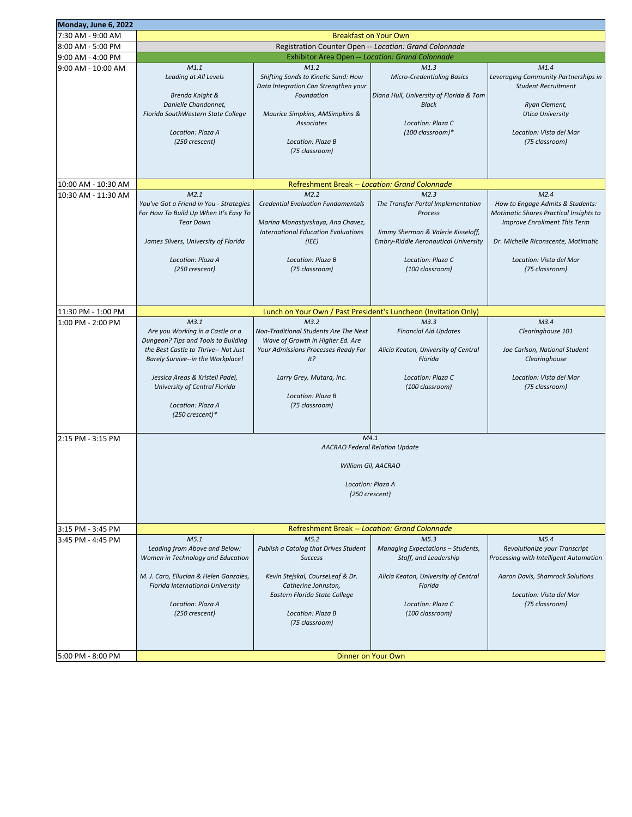|                                        | Monday, June 6, 2022                                                                                                                                                                                                                                                              |                                                                                                                                                                                                                                                                                        |                                                                                                                                                                                    |                                                                                                                                                                                                               |
|----------------------------------------|-----------------------------------------------------------------------------------------------------------------------------------------------------------------------------------------------------------------------------------------------------------------------------------|----------------------------------------------------------------------------------------------------------------------------------------------------------------------------------------------------------------------------------------------------------------------------------------|------------------------------------------------------------------------------------------------------------------------------------------------------------------------------------|---------------------------------------------------------------------------------------------------------------------------------------------------------------------------------------------------------------|
| 7:30 AM - 9:00 AM                      | <b>Breakfast on Your Own</b>                                                                                                                                                                                                                                                      |                                                                                                                                                                                                                                                                                        |                                                                                                                                                                                    |                                                                                                                                                                                                               |
| 8:00 AM - 5:00 PM                      | Registration Counter Open -- Location: Grand Colonnade                                                                                                                                                                                                                            |                                                                                                                                                                                                                                                                                        |                                                                                                                                                                                    |                                                                                                                                                                                                               |
| 9:00 AM - 4:00 PM                      | <b>Exhibitor Area Open -- Location: Grand Colonnade</b>                                                                                                                                                                                                                           |                                                                                                                                                                                                                                                                                        |                                                                                                                                                                                    |                                                                                                                                                                                                               |
| 9:00 AM - 10:00 AM                     | M1.1<br>Leading at All Levels<br><b>Brenda Knight &amp;</b><br>Danielle Chandonnet,<br>Florida SouthWestern State College<br>Location: Plaza A<br>(250 crescent)                                                                                                                  | M1.2<br>Shifting Sands to Kinetic Sand: How<br>Data Integration Can Strengthen your<br>Foundation<br>Maurice Simpkins, AMSimpkins &<br><b>Associates</b><br>Location: Plaza B<br>(75 classroom)                                                                                        | M1.3<br><b>Micro-Credentialing Basics</b><br>Diana Hull, University of Florida & Tom<br><b>Black</b><br>Location: Plaza C<br>(100 classroom)*                                      | M1.4<br>Leveraging Community Partnerships in<br><b>Student Recruitment</b><br>Ryan Clement,<br><b>Utica University</b><br>Location: Vista del Mar<br>(75 classroom)                                           |
|                                        |                                                                                                                                                                                                                                                                                   | Refreshment Break -- Location: Grand Colonnade                                                                                                                                                                                                                                         |                                                                                                                                                                                    |                                                                                                                                                                                                               |
| 10:00 AM - 10:30 AM                    |                                                                                                                                                                                                                                                                                   |                                                                                                                                                                                                                                                                                        |                                                                                                                                                                                    |                                                                                                                                                                                                               |
| 10:30 AM - 11:30 AM                    | M2.1<br>You've Got a Friend in You - Strategies<br>For How To Build Up When It's Easy To<br><b>Tear Down</b><br>James Silvers, University of Florida<br>Location: Plaza A<br>(250 crescent)                                                                                       | M2.2<br><b>Credential Evaluation Fundamentals</b><br>Marina Monastyrskaya, Ana Chavez,<br><b>International Education Evaluations</b><br>(IEE)<br>Location: Plaza B<br>(75 classroom)                                                                                                   | M2.3<br>The Transfer Portal Implementation<br>Process<br>Jimmy Sherman & Valerie Kisseloff,<br><b>Embry-Riddle Aeronautical University</b><br>Location: Plaza C<br>(100 classroom) | M2.4<br>How to Engage Admits & Students:<br>Motimatic Shares Practical Insights to<br><b>Improve Enrollment This Term</b><br>Dr. Michelle Riconscente, Motimatic<br>Location: Vista del Mar<br>(75 classroom) |
| 11:30 PM - 1:00 PM                     |                                                                                                                                                                                                                                                                                   |                                                                                                                                                                                                                                                                                        | Lunch on Your Own / Past President's Luncheon (Invitation Only)                                                                                                                    |                                                                                                                                                                                                               |
| 1:00 PM - 2:00 PM<br>2:15 PM - 3:15 PM | M3.1<br>Are you Working in a Castle or a<br>Dungeon? Tips and Tools to Building<br>the Best Castle to Thrive-- Not Just<br><b>Barely Survive--in the Workplace!</b><br>Jessica Areas & Kristell Padel,<br>University of Central Florida<br>Location: Plaza A<br>$(250$ crescent)* | M <sub>3.2</sub><br>Non-Traditional Students Are The Next<br>Wave of Growth in Higher Ed. Are<br>Your Admissions Processes Ready For<br>It?<br>Larry Grey, Mutara, Inc.<br>Location: Plaza B<br>(75 classroom)<br>M4.1<br><b>AACRAO Federal Relation Update</b><br>William Gil, AACRAO | M3.3<br><b>Financial Aid Updates</b><br>Alicia Keaton, University of Central<br>Florida<br>Location: Plaza C<br>(100 classroom)                                                    | M3.4<br>Clearinghouse 101<br>Joe Carlson, National Student<br>Clearinghouse<br>Location: Vista del Mar<br>(75 classroom)                                                                                      |
|                                        | Location: Plaza A<br>(250 crescent)                                                                                                                                                                                                                                               |                                                                                                                                                                                                                                                                                        |                                                                                                                                                                                    |                                                                                                                                                                                                               |
| 3:15 PM - 3:45 PM                      |                                                                                                                                                                                                                                                                                   | Refreshment Break -- Location: Grand Colonnade                                                                                                                                                                                                                                         |                                                                                                                                                                                    |                                                                                                                                                                                                               |
| 3:45 PM - 4:45 PM                      | M5.1<br>Leading from Above and Below:<br>Women in Technology and Education<br>M. J. Caro, Ellucian & Helen Gonzales,<br>Florida International University<br>Location: Plaza A<br>(250 crescent)                                                                                   | M <sub>5.2</sub><br>Publish a Catalog that Drives Student<br><b>Success</b><br>Kevin Stejskal, CourseLeaf & Dr.<br>Catherine Johnston,<br>Eastern Florida State College<br>Location: Plaza B<br>(75 classroom)                                                                         | M <sub>5.3</sub><br>Managing Expectations - Students,<br>Staff, and Leadership<br>Alicia Keaton, University of Central<br>Florida<br>Location: Plaza C<br>(100 classroom)          | M5.4<br>Revolutionize your Transcript<br>Processing with Intelligent Automation<br>Aaron Davis, Shamrock Solutions<br>Location: Vista del Mar<br>(75 classroom)                                               |
| 5:00 PM - 8:00 PM                      | Dinner on Your Own                                                                                                                                                                                                                                                                |                                                                                                                                                                                                                                                                                        |                                                                                                                                                                                    |                                                                                                                                                                                                               |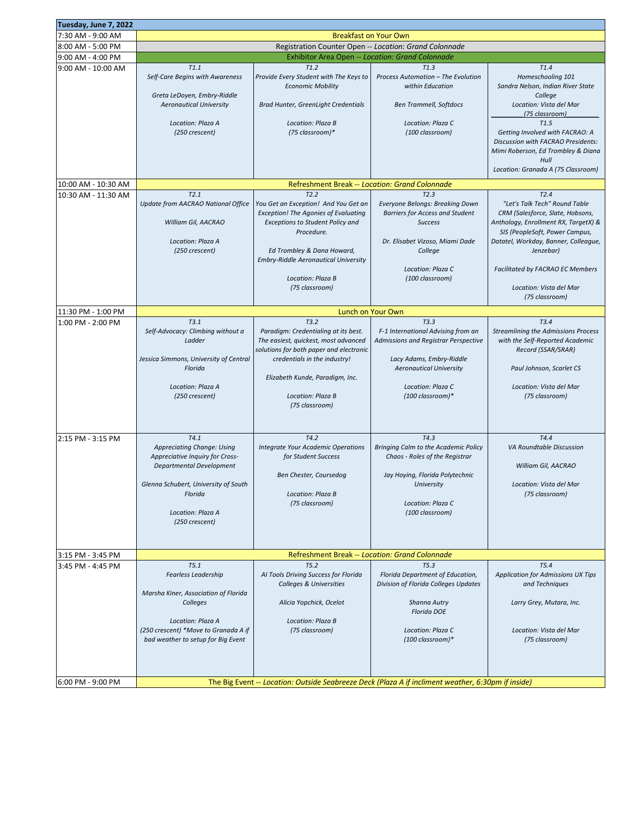| Tuesday, June 7, 2022 |                                                        |                                                                                 |                                                                                                    |                                                       |
|-----------------------|--------------------------------------------------------|---------------------------------------------------------------------------------|----------------------------------------------------------------------------------------------------|-------------------------------------------------------|
| 7:30 AM - 9:00 AM     | <b>Breakfast on Your Own</b>                           |                                                                                 |                                                                                                    |                                                       |
| 8:00 AM - 5:00 PM     | Registration Counter Open -- Location: Grand Colonnade |                                                                                 |                                                                                                    |                                                       |
| 9:00 AM - 4:00 PM     |                                                        | <b>Exhibitor Area Open -- Location: Grand Colonnade</b>                         |                                                                                                    |                                                       |
| 9:00 AM - 10:00 AM    | T1.1                                                   | T1.2                                                                            | T1.3                                                                                               | T1.4                                                  |
|                       | Self-Care Begins with Awareness                        | Provide Every Student with The Keys to                                          | Process Automation - The Evolution                                                                 | Homeschooling 101                                     |
|                       |                                                        | <b>Economic Mobility</b>                                                        | within Education                                                                                   | Sandra Nelson, Indian River State                     |
|                       | Greta LeDoyen, Embry-Riddle                            |                                                                                 |                                                                                                    | College                                               |
|                       | <b>Aeronautical University</b>                         | Brad Hunter, GreenLight Credentials                                             | <b>Ben Trammell, Softdocs</b>                                                                      | Location: Vista del Mar                               |
|                       |                                                        |                                                                                 |                                                                                                    | (75 classroom)                                        |
|                       | Location: Plaza A<br>(250 crescent)                    | Location: Plaza B<br>(75 classroom)*                                            | Location: Plaza C<br>(100 classroom)                                                               | T1.5<br>Getting Involved with FACRAO: A               |
|                       |                                                        |                                                                                 |                                                                                                    | Discussion with FACRAO Presidents:                    |
|                       |                                                        |                                                                                 |                                                                                                    | Mimi Roberson, Ed Trombley & Diana                    |
|                       |                                                        |                                                                                 |                                                                                                    | Hull                                                  |
|                       |                                                        |                                                                                 |                                                                                                    | Location: Granada A (75 Classroom)                    |
| 10:00 AM - 10:30 AM   |                                                        | Refreshment Break -- Location: Grand Colonnade                                  |                                                                                                    |                                                       |
|                       | T2.1                                                   | T2.2                                                                            | T2.3                                                                                               | T2.4                                                  |
| 10:30 AM - 11:30 AM   | Update from AACRAO National Office                     | You Get an Exception! And You Get an                                            | Everyone Belongs: Breaking Down                                                                    | "Let's Talk Tech" Round Table                         |
|                       |                                                        | <b>Exception! The Agonies of Evaluating</b>                                     | <b>Barriers for Access and Student</b>                                                             | CRM (Salesforce, Slate, Hobsons,                      |
|                       | William Gil, AACRAO                                    | <b>Exceptions to Student Policy and</b>                                         | <b>Success</b>                                                                                     | Anthology, Enrollment RX, TargetX) &                  |
|                       |                                                        | Procedure.                                                                      |                                                                                                    | SIS (PeopleSoft, Power Campus,                        |
|                       | Location: Plaza A                                      |                                                                                 | Dr. Elisabet Vizoso, Miami Dade                                                                    | Datatel, Workday, Banner, Colleague,                  |
|                       | (250 crescent)                                         | Ed Trombley & Dana Howard,                                                      | College                                                                                            | Jenzebar)                                             |
|                       |                                                        | <b>Embry-Riddle Aeronautical University</b>                                     |                                                                                                    |                                                       |
|                       |                                                        |                                                                                 | Location: Plaza C                                                                                  | <b>Facilitated by FACRAO EC Members</b>               |
|                       |                                                        | Location: Plaza B<br>(75 classroom)                                             | (100 classroom)                                                                                    | Location: Vista del Mar                               |
|                       |                                                        |                                                                                 |                                                                                                    | (75 classroom)                                        |
|                       |                                                        |                                                                                 |                                                                                                    |                                                       |
| 11:30 PM - 1:00 PM    |                                                        |                                                                                 | Lunch on Your Own                                                                                  |                                                       |
| 1:00 PM - 2:00 PM     | T3.1                                                   | T3.2                                                                            | T3.3                                                                                               | T3.4                                                  |
|                       | Self-Advocacy: Climbing without a<br>Ladder            | Paradigm: Credentialing at its best.                                            | F-1 International Advising from an                                                                 | <b>Streamlining the Admissions Process</b>            |
|                       |                                                        | The easiest, quickest, most advanced<br>solutions for both paper and electronic | Admissions and Registrar Perspective                                                               | with the Self-Reported Academic<br>Record (SSAR/SRAR) |
|                       | Jessica Simmons, University of Central                 | credentials in the industry!                                                    | Lacy Adams, Embry-Riddle                                                                           |                                                       |
|                       | Florida                                                |                                                                                 | <b>Aeronautical University</b>                                                                     | Paul Johnson, Scarlet CS                              |
|                       |                                                        | Elizabeth Kunde, Paradigm, Inc.                                                 |                                                                                                    |                                                       |
|                       | Location: Plaza A                                      |                                                                                 | Location: Plaza C                                                                                  | Location: Vista del Mar                               |
|                       | (250 crescent)                                         | Location: Plaza B                                                               | (100 classroom)*                                                                                   | (75 classroom)                                        |
|                       |                                                        | (75 classroom)                                                                  |                                                                                                    |                                                       |
|                       |                                                        |                                                                                 |                                                                                                    |                                                       |
|                       |                                                        |                                                                                 |                                                                                                    |                                                       |
| 2:15 PM - 3:15 PM     | T4.1                                                   | T4.2                                                                            | T4.3                                                                                               | T4.4                                                  |
|                       | Appreciating Change: Using                             | <b>Integrate Your Academic Operations</b>                                       | Bringing Calm to the Academic Policy                                                               | VA Roundtable Discussion                              |
|                       | Appreciative Inquiry for Cross-                        | for Student Success                                                             | Chaos - Roles of the Registrar                                                                     |                                                       |
|                       | Departmental Development                               | Ben Chester, Coursedog                                                          | Jay Hoying, Florida Polytechnic                                                                    | William Gil, AACRAO                                   |
|                       | Glenna Schubert, University of South                   |                                                                                 | University                                                                                         | Location: Vista del Mar                               |
|                       | Florida                                                | Location: Plaza B                                                               |                                                                                                    | (75 classroom)                                        |
|                       |                                                        | (75 classroom)                                                                  | Location: Plaza C                                                                                  |                                                       |
|                       | Location: Plaza A                                      |                                                                                 | (100 classroom)                                                                                    |                                                       |
|                       | (250 crescent)                                         |                                                                                 |                                                                                                    |                                                       |
|                       |                                                        |                                                                                 |                                                                                                    |                                                       |
|                       |                                                        |                                                                                 |                                                                                                    |                                                       |
| 3:15 PM - 3:45 PM     |                                                        | Refreshment Break -- Location: Grand Colonnade                                  |                                                                                                    |                                                       |
| 3:45 PM - 4:45 PM     | T5.1                                                   | T5.2                                                                            | T5.3                                                                                               | T5.4                                                  |
|                       | Fearless Leadership                                    | AI Tools Driving Success for Florida                                            | Florida Department of Education,                                                                   | Application for Admissions UX Tips                    |
|                       |                                                        | <b>Colleges &amp; Universities</b>                                              | Division of Florida Colleges Updates                                                               | and Techniques                                        |
|                       | Marsha Kiner, Association of Florida<br>Colleges       | Alicia Yopchick, Ocelot                                                         | <b>Shanna Autry</b>                                                                                | Larry Grey, Mutara, Inc.                              |
|                       |                                                        |                                                                                 | <b>Florida DOE</b>                                                                                 |                                                       |
|                       | Location: Plaza A                                      | Location: Plaza B                                                               |                                                                                                    |                                                       |
|                       | (250 crescent) *Move to Granada A if                   | (75 classroom)                                                                  | Location: Plaza C                                                                                  | Location: Vista del Mar                               |
|                       | bad weather to setup for Big Event                     |                                                                                 | (100 classroom)*                                                                                   | (75 classroom)                                        |
|                       |                                                        |                                                                                 |                                                                                                    |                                                       |
|                       |                                                        |                                                                                 |                                                                                                    |                                                       |
|                       |                                                        |                                                                                 |                                                                                                    |                                                       |
| 6:00 PM - 9:00 PM     |                                                        |                                                                                 | The Big Event -- Location: Outside Seabreeze Deck (Plaza A if incliment weather, 6:30pm if inside) |                                                       |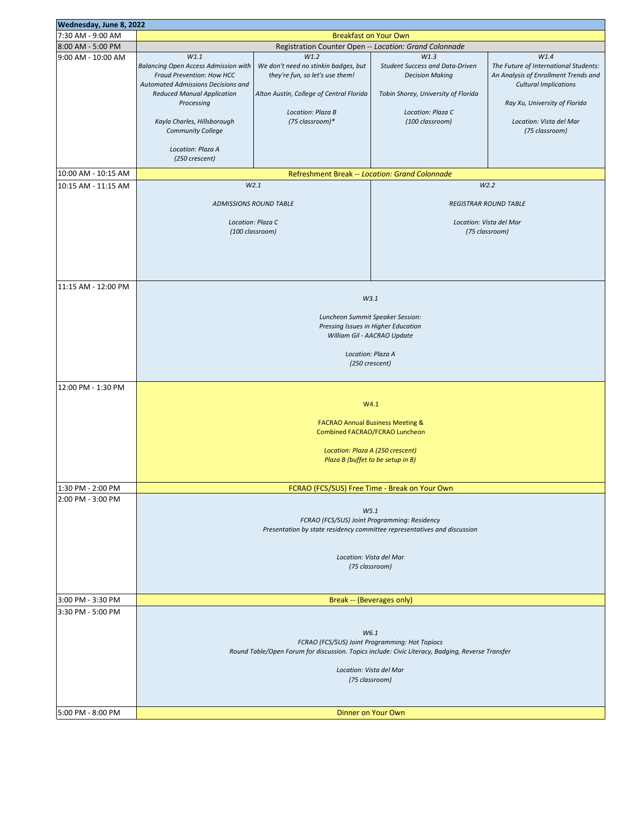| Wednesday, June 8, 2022 |                                                                                                                                                                                                                                             |                                                                                                                                                                     |                                                                                                                                                         |                                                                                                                                                                                                     |  |
|-------------------------|---------------------------------------------------------------------------------------------------------------------------------------------------------------------------------------------------------------------------------------------|---------------------------------------------------------------------------------------------------------------------------------------------------------------------|---------------------------------------------------------------------------------------------------------------------------------------------------------|-----------------------------------------------------------------------------------------------------------------------------------------------------------------------------------------------------|--|
| 7:30 AM - 9:00 AM       | <b>Breakfast on Your Own</b>                                                                                                                                                                                                                |                                                                                                                                                                     |                                                                                                                                                         |                                                                                                                                                                                                     |  |
| 8:00 AM - 5:00 PM       | Registration Counter Open -- Location: Grand Colonnade                                                                                                                                                                                      |                                                                                                                                                                     |                                                                                                                                                         |                                                                                                                                                                                                     |  |
| 9:00 AM - 10:00 AM      | W1.1<br><b>Balancing Open Access Admission with</b><br>Fraud Prevention: How HCC<br><b>Automated Admissions Decisions and</b><br><b>Reduced Manual Application</b><br>Processing<br>Kayla Charles, Hillsborough<br><b>Community College</b> | W1.2<br>We don't need no stinkin badges, but<br>they're fun, so let's use them!<br>Alton Austin, College of Central Florida<br>Location: Plaza B<br>(75 classroom)* | W1.3<br><b>Student Success and Data-Driven</b><br><b>Decision Making</b><br>Tobin Shorey, University of Florida<br>Location: Plaza C<br>(100 classroom) | W1.4<br>The Future of International Students:<br>An Analysis of Enrollment Trends and<br><b>Cultural Implications</b><br>Ray Xu, University of Florida<br>Location: Vista del Mar<br>(75 classroom) |  |
|                         | Location: Plaza A<br>(250 crescent)                                                                                                                                                                                                         |                                                                                                                                                                     |                                                                                                                                                         |                                                                                                                                                                                                     |  |
| 10:00 AM - 10:15 AM     |                                                                                                                                                                                                                                             | Refreshment Break -- Location: Grand Colonnade                                                                                                                      |                                                                                                                                                         |                                                                                                                                                                                                     |  |
| 10:15 AM - 11:15 AM     |                                                                                                                                                                                                                                             | W2.1                                                                                                                                                                |                                                                                                                                                         | W2.2                                                                                                                                                                                                |  |
|                         |                                                                                                                                                                                                                                             |                                                                                                                                                                     |                                                                                                                                                         |                                                                                                                                                                                                     |  |
|                         |                                                                                                                                                                                                                                             | <b>ADMISSIONS ROUND TABLE</b>                                                                                                                                       | <b>REGISTRAR ROUND TABLE</b>                                                                                                                            |                                                                                                                                                                                                     |  |
|                         |                                                                                                                                                                                                                                             | Location: Plaza C                                                                                                                                                   | Location: Vista del Mar                                                                                                                                 |                                                                                                                                                                                                     |  |
|                         | (100 classroom)                                                                                                                                                                                                                             |                                                                                                                                                                     | (75 classroom)                                                                                                                                          |                                                                                                                                                                                                     |  |
|                         |                                                                                                                                                                                                                                             |                                                                                                                                                                     |                                                                                                                                                         |                                                                                                                                                                                                     |  |
|                         |                                                                                                                                                                                                                                             |                                                                                                                                                                     |                                                                                                                                                         |                                                                                                                                                                                                     |  |
|                         |                                                                                                                                                                                                                                             |                                                                                                                                                                     |                                                                                                                                                         |                                                                                                                                                                                                     |  |
|                         |                                                                                                                                                                                                                                             |                                                                                                                                                                     |                                                                                                                                                         |                                                                                                                                                                                                     |  |
| 11:15 AM - 12:00 PM     |                                                                                                                                                                                                                                             |                                                                                                                                                                     |                                                                                                                                                         |                                                                                                                                                                                                     |  |
|                         |                                                                                                                                                                                                                                             |                                                                                                                                                                     |                                                                                                                                                         |                                                                                                                                                                                                     |  |
|                         |                                                                                                                                                                                                                                             |                                                                                                                                                                     | W3.1                                                                                                                                                    |                                                                                                                                                                                                     |  |
|                         |                                                                                                                                                                                                                                             |                                                                                                                                                                     |                                                                                                                                                         |                                                                                                                                                                                                     |  |
|                         | Luncheon Summit Speaker Session:<br>Pressing Issues in Higher Education                                                                                                                                                                     |                                                                                                                                                                     |                                                                                                                                                         |                                                                                                                                                                                                     |  |
|                         | William Gil - AACRAO Update                                                                                                                                                                                                                 |                                                                                                                                                                     |                                                                                                                                                         |                                                                                                                                                                                                     |  |
|                         |                                                                                                                                                                                                                                             |                                                                                                                                                                     |                                                                                                                                                         |                                                                                                                                                                                                     |  |
|                         |                                                                                                                                                                                                                                             | Location: Plaza A                                                                                                                                                   |                                                                                                                                                         |                                                                                                                                                                                                     |  |
|                         | (250 crescent)                                                                                                                                                                                                                              |                                                                                                                                                                     |                                                                                                                                                         |                                                                                                                                                                                                     |  |
|                         |                                                                                                                                                                                                                                             |                                                                                                                                                                     |                                                                                                                                                         |                                                                                                                                                                                                     |  |
| 12:00 PM - 1:30 PM      |                                                                                                                                                                                                                                             |                                                                                                                                                                     |                                                                                                                                                         |                                                                                                                                                                                                     |  |
|                         |                                                                                                                                                                                                                                             |                                                                                                                                                                     |                                                                                                                                                         |                                                                                                                                                                                                     |  |
|                         | W4.1                                                                                                                                                                                                                                        |                                                                                                                                                                     |                                                                                                                                                         |                                                                                                                                                                                                     |  |
|                         | <b>FACRAO Annual Business Meeting &amp;</b>                                                                                                                                                                                                 |                                                                                                                                                                     |                                                                                                                                                         |                                                                                                                                                                                                     |  |
|                         | Combined FACRAO/FCRAO Luncheon                                                                                                                                                                                                              |                                                                                                                                                                     |                                                                                                                                                         |                                                                                                                                                                                                     |  |
|                         |                                                                                                                                                                                                                                             |                                                                                                                                                                     |                                                                                                                                                         |                                                                                                                                                                                                     |  |
|                         | Location: Plaza A (250 crescent)                                                                                                                                                                                                            |                                                                                                                                                                     |                                                                                                                                                         |                                                                                                                                                                                                     |  |
|                         | Plaza B (buffet to be setup in B)                                                                                                                                                                                                           |                                                                                                                                                                     |                                                                                                                                                         |                                                                                                                                                                                                     |  |
|                         |                                                                                                                                                                                                                                             |                                                                                                                                                                     |                                                                                                                                                         |                                                                                                                                                                                                     |  |
| 1:30 PM - 2:00 PM       | FCRAO (FCS/SUS) Free Time - Break on Your Own                                                                                                                                                                                               |                                                                                                                                                                     |                                                                                                                                                         |                                                                                                                                                                                                     |  |
| 2:00 PM - 3:00 PM       |                                                                                                                                                                                                                                             |                                                                                                                                                                     |                                                                                                                                                         |                                                                                                                                                                                                     |  |
|                         |                                                                                                                                                                                                                                             |                                                                                                                                                                     | W5.1                                                                                                                                                    |                                                                                                                                                                                                     |  |
|                         |                                                                                                                                                                                                                                             |                                                                                                                                                                     | FCRAO (FCS/SUS) Joint Programming: Residency                                                                                                            |                                                                                                                                                                                                     |  |
|                         |                                                                                                                                                                                                                                             | Presentation by state residency committee representatives and discussion                                                                                            |                                                                                                                                                         |                                                                                                                                                                                                     |  |
|                         |                                                                                                                                                                                                                                             |                                                                                                                                                                     |                                                                                                                                                         |                                                                                                                                                                                                     |  |
|                         |                                                                                                                                                                                                                                             |                                                                                                                                                                     |                                                                                                                                                         |                                                                                                                                                                                                     |  |
|                         |                                                                                                                                                                                                                                             | Location: Vista del Mar                                                                                                                                             |                                                                                                                                                         |                                                                                                                                                                                                     |  |
|                         | (75 classroom)                                                                                                                                                                                                                              |                                                                                                                                                                     |                                                                                                                                                         |                                                                                                                                                                                                     |  |
|                         |                                                                                                                                                                                                                                             |                                                                                                                                                                     |                                                                                                                                                         |                                                                                                                                                                                                     |  |
|                         |                                                                                                                                                                                                                                             |                                                                                                                                                                     |                                                                                                                                                         |                                                                                                                                                                                                     |  |
| 3:00 PM - 3:30 PM       | Break -- (Beverages only)                                                                                                                                                                                                                   |                                                                                                                                                                     |                                                                                                                                                         |                                                                                                                                                                                                     |  |
| 3:30 PM - 5:00 PM       |                                                                                                                                                                                                                                             |                                                                                                                                                                     |                                                                                                                                                         |                                                                                                                                                                                                     |  |
|                         |                                                                                                                                                                                                                                             |                                                                                                                                                                     |                                                                                                                                                         |                                                                                                                                                                                                     |  |
|                         | W6.1                                                                                                                                                                                                                                        |                                                                                                                                                                     |                                                                                                                                                         |                                                                                                                                                                                                     |  |
|                         | FCRAO (FCS/SUS) Joint Programming: Hot Topiocs                                                                                                                                                                                              |                                                                                                                                                                     |                                                                                                                                                         |                                                                                                                                                                                                     |  |
|                         | Round Table/Open Forum for discussion. Topics include: Civic Literacy, Badging, Reverse Transfer                                                                                                                                            |                                                                                                                                                                     |                                                                                                                                                         |                                                                                                                                                                                                     |  |
|                         |                                                                                                                                                                                                                                             | Location: Vista del Mar                                                                                                                                             |                                                                                                                                                         |                                                                                                                                                                                                     |  |
|                         |                                                                                                                                                                                                                                             | (75 classroom)                                                                                                                                                      |                                                                                                                                                         |                                                                                                                                                                                                     |  |
|                         |                                                                                                                                                                                                                                             |                                                                                                                                                                     |                                                                                                                                                         |                                                                                                                                                                                                     |  |
|                         |                                                                                                                                                                                                                                             |                                                                                                                                                                     |                                                                                                                                                         |                                                                                                                                                                                                     |  |
| 5:00 PM - 8:00 PM       |                                                                                                                                                                                                                                             |                                                                                                                                                                     | Dinner on Your Own                                                                                                                                      |                                                                                                                                                                                                     |  |
|                         |                                                                                                                                                                                                                                             |                                                                                                                                                                     |                                                                                                                                                         |                                                                                                                                                                                                     |  |